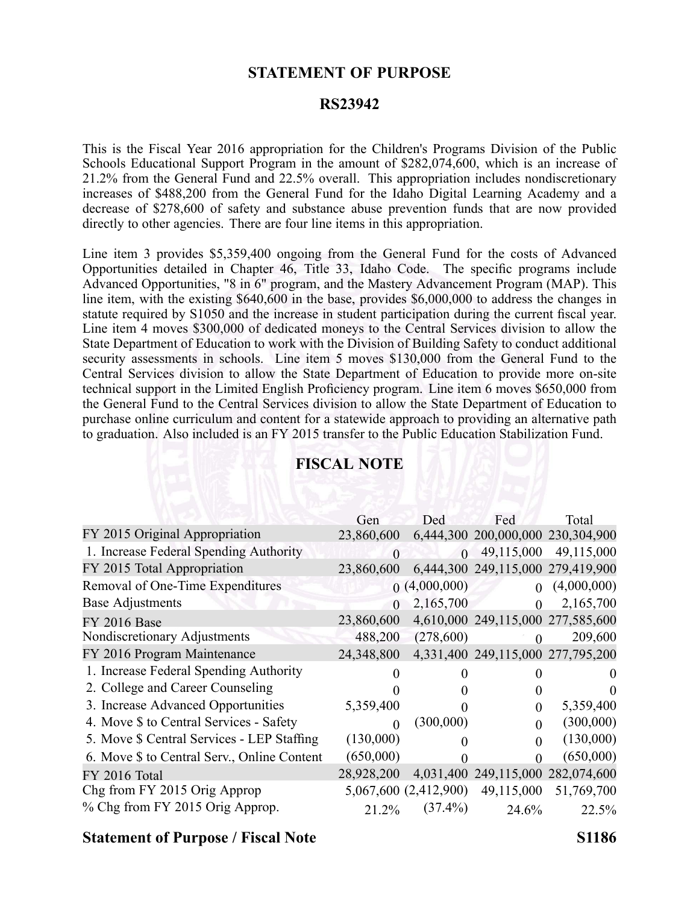### **STATEMENT OF PURPOSE**

#### **RS23942**

This is the Fiscal Year 2016 appropriation for the Children's Programs Division of the Public Schools Educational Support Program in the amount of \$282,074,600, which is an increase of 21.2% from the General Fund and 22.5% overall. This appropriation includes nondiscretionary increases of \$488,200 from the General Fund for the Idaho Digital Learning Academy and <sup>a</sup> decrease of \$278,600 of safety and substance abuse prevention funds that are now provided directly to other agencies. There are four line items in this appropriation.

Line item 3 provides \$5,359,400 ongoing from the General Fund for the costs of Advanced Opportunities detailed in Chapter 46, Title 33, Idaho Code. The specific programs include Advanced Opportunities, "8 in 6" program, and the Mastery Advancement Program (MAP). This line item, with the existing \$640,600 in the base, provides \$6,000,000 to address the changes in statute required by S1050 and the increase in student participation during the current fiscal year. Line item 4 moves \$300,000 of dedicated moneys to the Central Services division to allow the State Department of Education to work with the Division of Building Safety to conduct additional security assessments in schools. Line item 5 moves \$130,000 from the General Fund to the Central Services division to allow the State Department of Education to provide more on-site technical suppor<sup>t</sup> in the Limited English Proficiency program. Line item 6 moves \$650,000 from the General Fund to the Central Services division to allow the State Department of Education to purchase online curriculum and content for <sup>a</sup> statewide approach to providing an alternative path to graduation. Also included is an FY 2015 transfer to the Public Education Stabilization Fund.

|                                             | Gen               | Ded                   | Fed                               | Total       |
|---------------------------------------------|-------------------|-----------------------|-----------------------------------|-------------|
| FY 2015 Original Appropriation              | 23,860,600        |                       | 6,444,300 200,000,000 230,304,900 |             |
| 1. Increase Federal Spending Authority      | $\Omega$          | $\Omega$              | 49,115,000                        | 49,115,000  |
| FY 2015 Total Appropriation                 | 23,860,600        |                       | 6,444,300 249,115,000 279,419,900 |             |
| Removal of One-Time Expenditures            |                   | (4,000,000)           |                                   | (4,000,000) |
| <b>Base Adjustments</b>                     | $\Omega$          | 2,165,700             | $\theta$                          | 2,165,700   |
| <b>FY 2016 Base</b>                         | 23,860,600        |                       | 4,610,000 249,115,000 277,585,600 |             |
| Nondiscretionary Adjustments                | 488,200           | (278,600)             | $\Omega$                          | 209,600     |
| FY 2016 Program Maintenance                 | 24,348,800        |                       | 4,331,400 249,115,000 277,795,200 |             |
|                                             |                   |                       |                                   |             |
| 1. Increase Federal Spending Authority      | $\mathbf{\Omega}$ |                       |                                   |             |
| 2. College and Career Counseling            |                   |                       |                                   |             |
| 3. Increase Advanced Opportunities          | 5,359,400         |                       | 0                                 | 5,359,400   |
| 4. Move \$ to Central Services - Safety     | $\Omega$          | (300,000)             |                                   | (300,000)   |
| 5. Move \$ Central Services - LEP Staffing  | (130,000)         |                       |                                   | (130,000)   |
| 6. Move \$ to Central Serv., Online Content | (650,000)         |                       |                                   | (650,000)   |
| FY 2016 Total                               | 28,928,200        |                       | 4,031,400 249,115,000 282,074,600 |             |
| Chg from FY 2015 Orig Approp                |                   | 5,067,600 (2,412,900) | 49,115,000                        | 51,769,700  |

## **FISCAL NOTE**

### **Statement of Purpose / Fiscal Note S1186**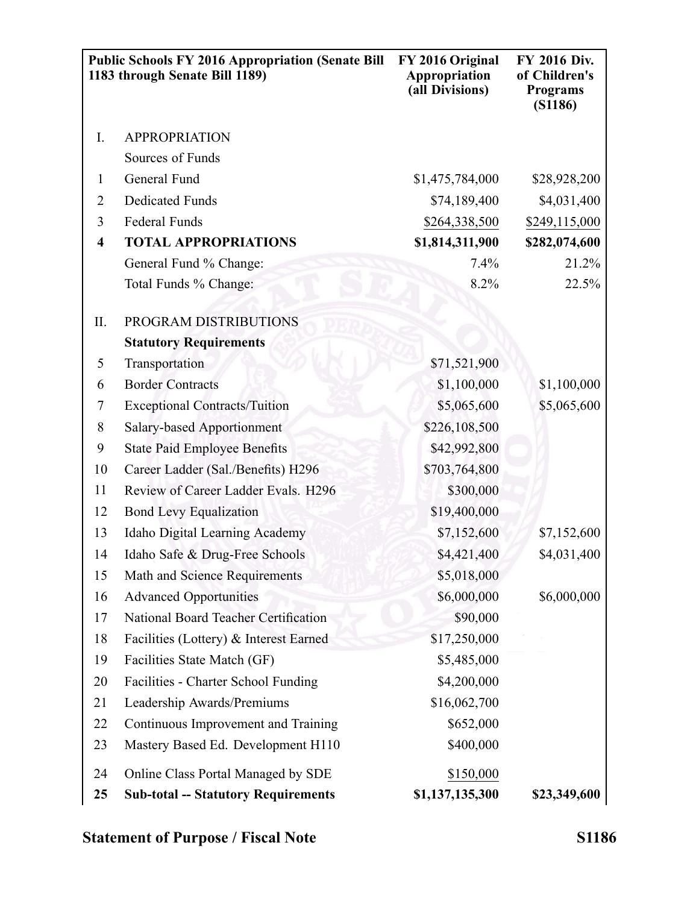|                  | <b>Public Schools FY 2016 Appropriation (Senate Bill</b><br>1183 through Senate Bill 1189) | FY 2016 Original<br>Appropriation<br>(all Divisions) | FY 2016 Div.<br>of Children's<br><b>Programs</b><br>(S1186) |
|------------------|--------------------------------------------------------------------------------------------|------------------------------------------------------|-------------------------------------------------------------|
| I.               | <b>APPROPRIATION</b>                                                                       |                                                      |                                                             |
|                  | Sources of Funds                                                                           |                                                      |                                                             |
| $\mathbf{1}$     | General Fund                                                                               | \$1,475,784,000                                      | \$28,928,200                                                |
| $\overline{2}$   | <b>Dedicated Funds</b>                                                                     | \$74,189,400                                         | \$4,031,400                                                 |
| 3                | Federal Funds                                                                              | \$264,338,500                                        | \$249,115,000                                               |
| $\boldsymbol{4}$ | <b>TOTAL APPROPRIATIONS</b>                                                                | \$1,814,311,900                                      | \$282,074,600                                               |
|                  | General Fund % Change:                                                                     | 7.4%                                                 | 21.2%                                                       |
|                  | Total Funds % Change:                                                                      | 8.2%                                                 | 22.5%                                                       |
| II.              | PROGRAM DISTRIBUTIONS                                                                      |                                                      |                                                             |
|                  | <b>Statutory Requirements</b>                                                              |                                                      |                                                             |
| 5                | Transportation                                                                             | \$71,521,900                                         |                                                             |
| 6                | <b>Border Contracts</b>                                                                    | \$1,100,000                                          | \$1,100,000                                                 |
| 7                | <b>Exceptional Contracts/Tuition</b>                                                       | \$5,065,600                                          | \$5,065,600                                                 |
| 8                | <b>Salary-based Apportionment</b>                                                          | \$226,108,500                                        |                                                             |
| 9                | <b>State Paid Employee Benefits</b>                                                        | \$42,992,800                                         |                                                             |
| 10               | Career Ladder (Sal./Benefits) H296                                                         | \$703,764,800                                        |                                                             |
| 11               | Review of Career Ladder Evals. H296                                                        | \$300,000                                            |                                                             |
| 12               | <b>Bond Levy Equalization</b>                                                              | \$19,400,000                                         |                                                             |
| 13               | <b>Idaho Digital Learning Academy</b>                                                      | \$7,152,600                                          | \$7,152,600                                                 |
| 14               | Idaho Safe & Drug-Free Schools                                                             | \$4,421,400                                          | \$4,031,400                                                 |
| 15               | Math and Science Requirements                                                              | \$5,018,000                                          |                                                             |
| 16               | <b>Advanced Opportunities</b>                                                              | \$6,000,000                                          | \$6,000,000                                                 |
| 17               | National Board Teacher Certification                                                       | \$90,000                                             |                                                             |
| 18               | Facilities (Lottery) & Interest Earned                                                     | \$17,250,000                                         |                                                             |
| 19               | Facilities State Match (GF)                                                                | \$5,485,000                                          |                                                             |
| 20               | Facilities - Charter School Funding                                                        | \$4,200,000                                          |                                                             |
| 21               | Leadership Awards/Premiums                                                                 | \$16,062,700                                         |                                                             |
| 22               | Continuous Improvement and Training                                                        | \$652,000                                            |                                                             |
| 23               | Mastery Based Ed. Development H110                                                         | \$400,000                                            |                                                             |
| 24               | Online Class Portal Managed by SDE                                                         | \$150,000                                            |                                                             |
| 25               | <b>Sub-total -- Statutory Requirements</b>                                                 | \$1,137,135,300                                      | \$23,349,600                                                |

# **Statement of Purpose / Fiscal Note S1186**